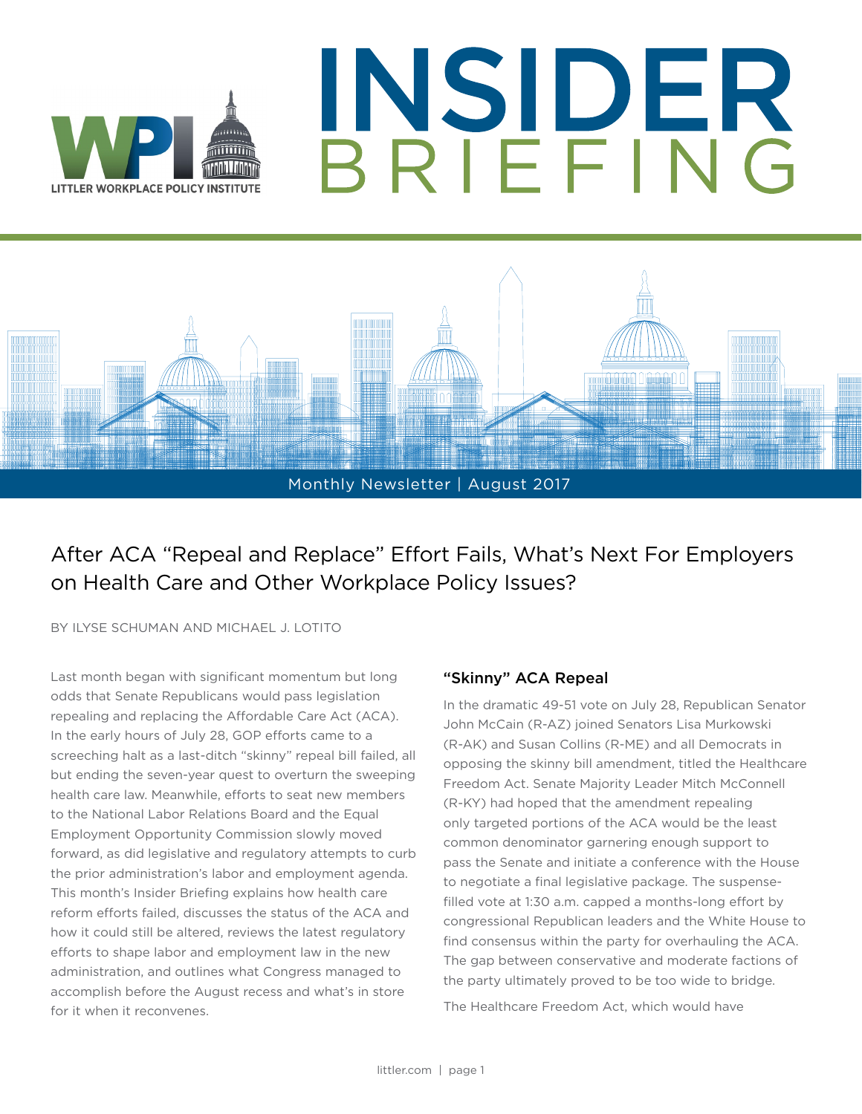





Monthly Newsletter | August 2017

After ACA "Repeal and Replace" Effort Fails, What's Next For Employers on Health Care and Other Workplace Policy Issues?

BY ILYSE SCHUMAN AND MICHAEL J. LOTITO

Last month began with significant momentum but long odds that Senate Republicans would pass legislation repealing and replacing the Affordable Care Act (ACA). In the early hours of July 28, GOP efforts came to a screeching halt as a last-ditch "skinny" repeal bill failed, all but ending the seven-year quest to overturn the sweeping health care law. Meanwhile, efforts to seat new members to the National Labor Relations Board and the Equal Employment Opportunity Commission slowly moved forward, as did legislative and regulatory attempts to curb the prior administration's labor and employment agenda. This month's Insider Briefing explains how health care reform efforts failed, discusses the status of the ACA and how it could still be altered, reviews the latest regulatory efforts to shape labor and employment law in the new administration, and outlines what Congress managed to accomplish before the August recess and what's in store for it when it reconvenes.

### "Skinny" ACA Repeal

In the dramatic 49-51 vote on July 28, Republican Senator John McCain (R-AZ) joined Senators Lisa Murkowski (R-AK) and Susan Collins (R-ME) and all Democrats in opposing the skinny bill amendment, titled the Healthcare Freedom Act. Senate Majority Leader Mitch McConnell (R-KY) had hoped that the amendment repealing only targeted portions of the ACA would be the least common denominator garnering enough support to pass the Senate and initiate a conference with the House to negotiate a final legislative package. The suspensefilled vote at 1:30 a.m. capped a months-long effort by congressional Republican leaders and the White House to find consensus within the party for overhauling the ACA. The gap between conservative and moderate factions of the party ultimately proved to be too wide to bridge.

The Healthcare Freedom Act, which would have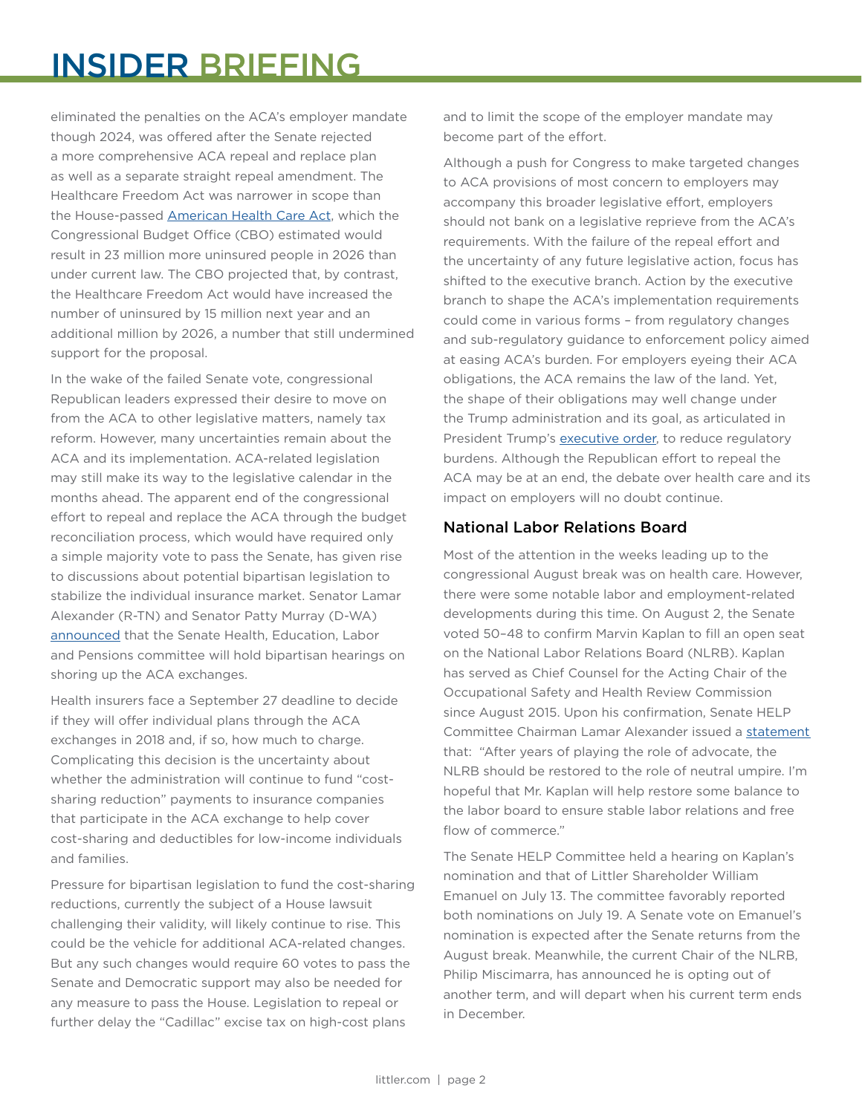# INSIDER BRIEFING

eliminated the penalties on the ACA's employer mandate though 2024, was offered after the Senate rejected a more comprehensive ACA repeal and replace plan as well as a separate straight repeal amendment. The Healthcare Freedom Act was narrower in scope than the House-passed [American Health Care Act](https://www.littler.com/publication-press/publication/house-passes-american-health-care-act-fate-senate-uncertain), which the Congressional Budget Office (CBO) estimated would result in 23 million more uninsured people in 2026 than under current law. The CBO projected that, by contrast, the Healthcare Freedom Act would have increased the number of uninsured by 15 million next year and an additional million by 2026, a number that still undermined support for the proposal.

In the wake of the failed Senate vote, congressional Republican leaders expressed their desire to move on from the ACA to other legislative matters, namely tax reform. However, many uncertainties remain about the ACA and its implementation. ACA-related legislation may still make its way to the legislative calendar in the months ahead. The apparent end of the congressional effort to repeal and replace the ACA through the budget reconciliation process, which would have required only a simple majority vote to pass the Senate, has given rise to discussions about potential bipartisan legislation to stabilize the individual insurance market. Senator Lamar Alexander (R-TN) and Senator Patty Murray (D-WA) [announced](https://www.help.senate.gov/chair/newsroom/press/chairman-alexander-on-announcing-bipartisan-health-care-hearings-unless-congress-acts-millions-may-not-have-insurance-to-buy-in-2018) that the Senate Health, Education, Labor and Pensions committee will hold bipartisan hearings on shoring up the ACA exchanges.

Health insurers face a September 27 deadline to decide if they will offer individual plans through the ACA exchanges in 2018 and, if so, how much to charge. Complicating this decision is the uncertainty about whether the administration will continue to fund "costsharing reduction" payments to insurance companies that participate in the ACA exchange to help cover cost-sharing and deductibles for low-income individuals and families.

Pressure for bipartisan legislation to fund the cost-sharing reductions, currently the subject of a House lawsuit challenging their validity, will likely continue to rise. This could be the vehicle for additional ACA-related changes. But any such changes would require 60 votes to pass the Senate and Democratic support may also be needed for any measure to pass the House. Legislation to repeal or further delay the "Cadillac" excise tax on high-cost plans

and to limit the scope of the employer mandate may become part of the effort.

Although a push for Congress to make targeted changes to ACA provisions of most concern to employers may accompany this broader legislative effort, employers should not bank on a legislative reprieve from the ACA's requirements. With the failure of the repeal effort and the uncertainty of any future legislative action, focus has shifted to the executive branch. Action by the executive branch to shape the ACA's implementation requirements could come in various forms – from regulatory changes and sub-regulatory guidance to enforcement policy aimed at easing ACA's burden. For employers eyeing their ACA obligations, the ACA remains the law of the land. Yet, the shape of their obligations may well change under the Trump administration and its goal, as articulated in President Trump's [executive order](https://www.whitehouse.gov/the-press-office/2017/01/2/executive-order-minimizing-economic-burden-patient-protection-and), to reduce regulatory burdens. Although the Republican effort to repeal the ACA may be at an end, the debate over health care and its impact on employers will no doubt continue.

# National Labor Relations Board

Most of the attention in the weeks leading up to the congressional August break was on health care. However, there were some notable labor and employment-related developments during this time. On August 2, the Senate voted 50–48 to confirm Marvin Kaplan to fill an open seat on the National Labor Relations Board (NLRB). Kaplan has served as Chief Counsel for the Acting Chair of the Occupational Safety and Health Review Commission since August 2015. Upon his confirmation, Senate HELP Committee Chairman Lamar Alexander issued a [statement](https://www.help.senate.gov/chair/newsroom/press/alexander-votes-to-confirm-marvin-kaplan-to-serve-as-a-member-of-the-national-labor-relations-board-)  that: "After years of playing the role of advocate, the NLRB should be restored to the role of neutral umpire. I'm hopeful that Mr. Kaplan will help restore some balance to the labor board to ensure stable labor relations and free flow of commerce."

The Senate HELP Committee held a hearing on Kaplan's nomination and that of Littler Shareholder William Emanuel on July 13. The committee favorably reported both nominations on July 19. A Senate vote on Emanuel's nomination is expected after the Senate returns from the August break. Meanwhile, the current Chair of the NLRB, Philip Miscimarra, has announced he is opting out of another term, and will depart when his current term ends in December.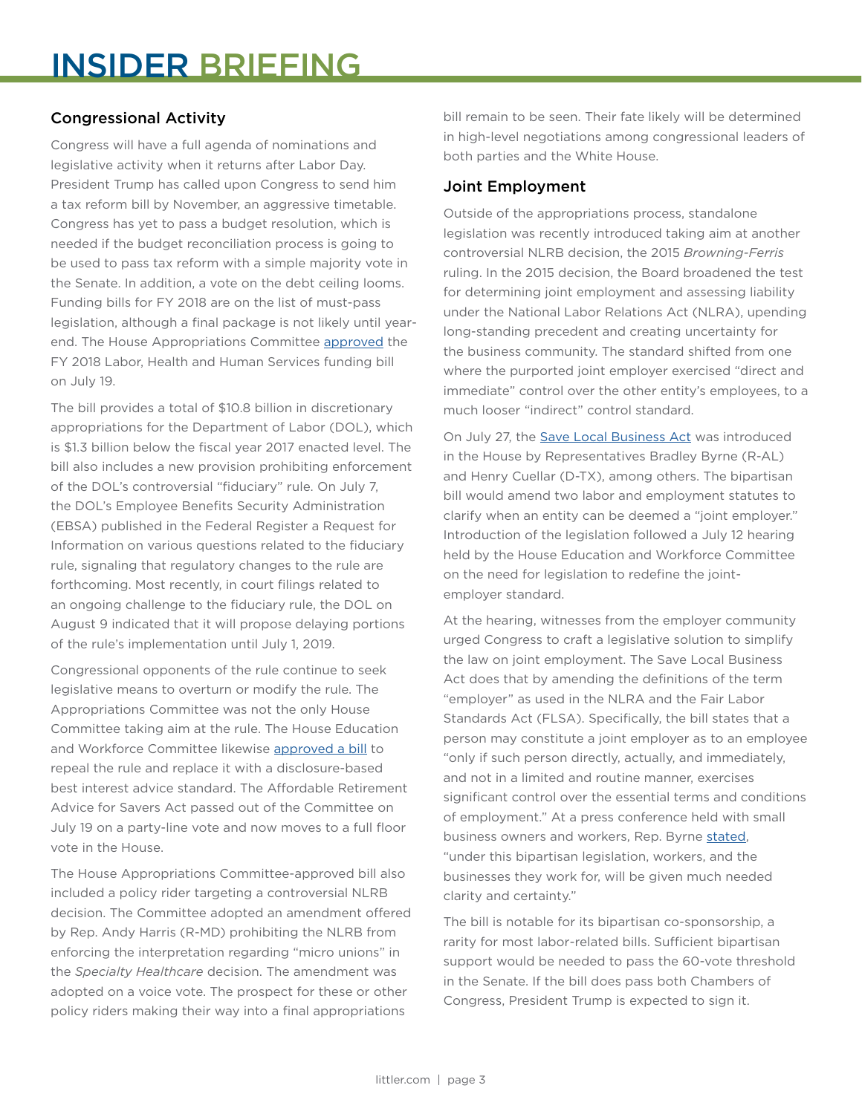# Congressional Activity

Congress will have a full agenda of nominations and legislative activity when it returns after Labor Day. President Trump has called upon Congress to send him a tax reform bill by November, an aggressive timetable. Congress has yet to pass a budget resolution, which is needed if the budget reconciliation process is going to be used to pass tax reform with a simple majority vote in the Senate. In addition, a vote on the debt ceiling looms. Funding bills for FY 2018 are on the list of must-pass legislation, although a final package is not likely until yearend. The House Appropriations Committee [approved](https://appropriations.house.gov/news/documentsingle.aspx?DocumentID=395026) the FY 2018 Labor, Health and Human Services funding bill on July 19.

The bill provides a total of \$10.8 billion in discretionary appropriations for the Department of Labor (DOL), which is \$1.3 billion below the fiscal year 2017 enacted level. The bill also includes a new provision prohibiting enforcement of the DOL's controversial "fiduciary" rule. On July 7, the DOL's Employee Benefits Security Administration (EBSA) published in the Federal Register a Request for Information on various questions related to the fiduciary rule, signaling that regulatory changes to the rule are forthcoming. Most recently, in court filings related to an ongoing challenge to the fiduciary rule, the DOL on August 9 indicated that it will propose delaying portions of the rule's implementation until July 1, 2019.

Congressional opponents of the rule continue to seek legislative means to overturn or modify the rule. The Appropriations Committee was not the only House Committee taking aim at the rule. The House Education and Workforce Committee likewise [approved a bill](https://roe.house.gov/news/documentsingle.aspx?DocumentID=398198) to repeal the rule and replace it with a disclosure-based best interest advice standard. The Affordable Retirement Advice for Savers Act passed out of the Committee on July 19 on a party-line vote and now moves to a full floor vote in the House.

The House Appropriations Committee-approved bill also included a policy rider targeting a controversial NLRB decision. The Committee adopted an amendment offered by Rep. Andy Harris (R-MD) prohibiting the NLRB from enforcing the interpretation regarding "micro unions" in the *Specialty Healthcare* decision. The amendment was adopted on a voice vote. The prospect for these or other policy riders making their way into a final appropriations

bill remain to be seen. Their fate likely will be determined in high-level negotiations among congressional leaders of both parties and the White House.

# Joint Employment

Outside of the appropriations process, standalone legislation was recently introduced taking aim at another controversial NLRB decision, the 2015 *Browning-Ferris*  ruling. In the 2015 decision, the Board broadened the test for determining joint employment and assessing liability under the National Labor Relations Act (NLRA), upending long-standing precedent and creating uncertainty for the business community. The standard shifted from one where the purported joint employer exercised "direct and immediate" control over the other entity's employees, to a much looser "indirect" control standard.

On July 27, the [Save Local Business Act](https://www.littler.com/publication-press/publication/house-introduces-bipartisan-bill-designed-ease-joint-employer) was introduced in the House by Representatives Bradley Byrne (R-AL) and Henry Cuellar (D-TX), among others. The bipartisan bill would amend two labor and employment statutes to clarify when an entity can be deemed a "joint employer." Introduction of the legislation followed a July 12 hearing held by the House Education and Workforce Committee on the need for legislation to redefine the jointemployer standard.

At the hearing, witnesses from the employer community urged Congress to craft a legislative solution to simplify the law on joint employment. The Save Local Business Act does that by amending the definitions of the term "employer" as used in the NLRA and the Fair Labor Standards Act (FLSA). Specifically, the bill states that a person may constitute a joint employer as to an employee "only if such person directly, actually, and immediately, and not in a limited and routine manner, exercises significant control over the essential terms and conditions of employment." At a press conference held with small business owners and workers, Rep. Byrne [stated,](https://www.littler.com/publication-press/publication/house-hearing-explores-legislative-remedy-joint-employer-confusion) "under this bipartisan legislation, workers, and the businesses they work for, will be given much needed clarity and certainty."

The bill is notable for its bipartisan co-sponsorship, a rarity for most labor-related bills. Sufficient bipartisan support would be needed to pass the 60-vote threshold in the Senate. If the bill does pass both Chambers of Congress, President Trump is expected to sign it.